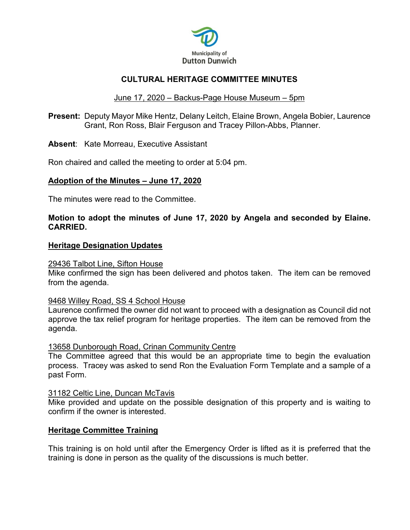

## **CULTURAL HERITAGE COMMITTEE MINUTES**

### June 17, 2020 – Backus-Page House Museum – 5pm

**Present:** Deputy Mayor Mike Hentz, Delany Leitch, Elaine Brown, Angela Bobier, Laurence Grant, Ron Ross, Blair Ferguson and Tracey Pillon-Abbs, Planner.

**Absent**: Kate Morreau, Executive Assistant

Ron chaired and called the meeting to order at 5:04 pm.

#### **Adoption of the Minutes – June 17, 2020**

The minutes were read to the Committee.

### **Motion to adopt the minutes of June 17, 2020 by Angela and seconded by Elaine. CARRIED.**

#### **Heritage Designation Updates**

#### 29436 Talbot Line, Sifton House

Mike confirmed the sign has been delivered and photos taken. The item can be removed from the agenda.

#### 9468 Willey Road, SS 4 School House

Laurence confirmed the owner did not want to proceed with a designation as Council did not approve the tax relief program for heritage properties. The item can be removed from the agenda.

#### 13658 Dunborough Road, Crinan Community Centre

The Committee agreed that this would be an appropriate time to begin the evaluation process. Tracey was asked to send Ron the Evaluation Form Template and a sample of a past Form.

#### 31182 Celtic Line, Duncan McTavis

Mike provided and update on the possible designation of this property and is waiting to confirm if the owner is interested.

#### **Heritage Committee Training**

This training is on hold until after the Emergency Order is lifted as it is preferred that the training is done in person as the quality of the discussions is much better.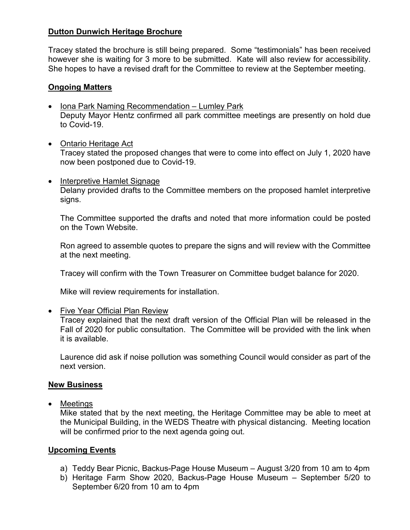## **Dutton Dunwich Heritage Brochure**

Tracey stated the brochure is still being prepared. Some "testimonials" has been received however she is waiting for 3 more to be submitted. Kate will also review for accessibility. She hopes to have a revised draft for the Committee to review at the September meeting.

## **Ongoing Matters**

- Iona Park Naming Recommendation Lumley Park Deputy Mayor Hentz confirmed all park committee meetings are presently on hold due to Covid-19.
- Ontario Heritage Act Tracey stated the proposed changes that were to come into effect on July 1, 2020 have now been postponed due to Covid-19.
- Interpretive Hamlet Signage Delany provided drafts to the Committee members on the proposed hamlet interpretive signs.

The Committee supported the drafts and noted that more information could be posted on the Town Website.

Ron agreed to assemble quotes to prepare the signs and will review with the Committee at the next meeting.

Tracey will confirm with the Town Treasurer on Committee budget balance for 2020.

Mike will review requirements for installation.

• Five Year Official Plan Review

Tracey explained that the next draft version of the Official Plan will be released in the Fall of 2020 for public consultation. The Committee will be provided with the link when it is available.

Laurence did ask if noise pollution was something Council would consider as part of the next version.

### **New Business**

• Meetings

Mike stated that by the next meeting, the Heritage Committee may be able to meet at the Municipal Building, in the WEDS Theatre with physical distancing. Meeting location will be confirmed prior to the next agenda going out.

## **Upcoming Events**

- a) Teddy Bear Picnic, Backus-Page House Museum August 3/20 from 10 am to 4pm
- b) Heritage Farm Show 2020, Backus-Page House Museum September 5/20 to September 6/20 from 10 am to 4pm